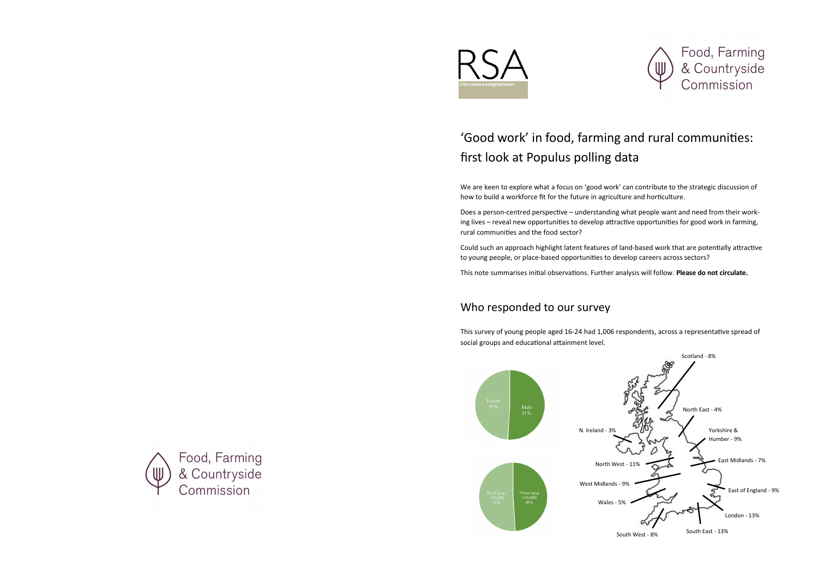

## 'Good work' in food, farming and rural communities: first look at Populus polling data

We are keen to explore what a focus on 'good work' can contribute to the strategic discussion of how to build a workforce fit for the future in agriculture and horticulture.

Does a person-centred perspective – understanding what people want and need from their working lives – reveal new opportunities to develop attractive opportunities for good work in farming, rural communities and the food sector?

Could such an approach highlight latent features of land-based work that are potentially attractive to young people, or place-based opportunities to develop careers across sectors?

This note summarises initial observations. Further analysis will follow. **Please do not circulate.**

## Who responded to our survey

This survey of young people aged 16-24 had 1,006 respondents, across a representative spread of social groups and educational attainment level.